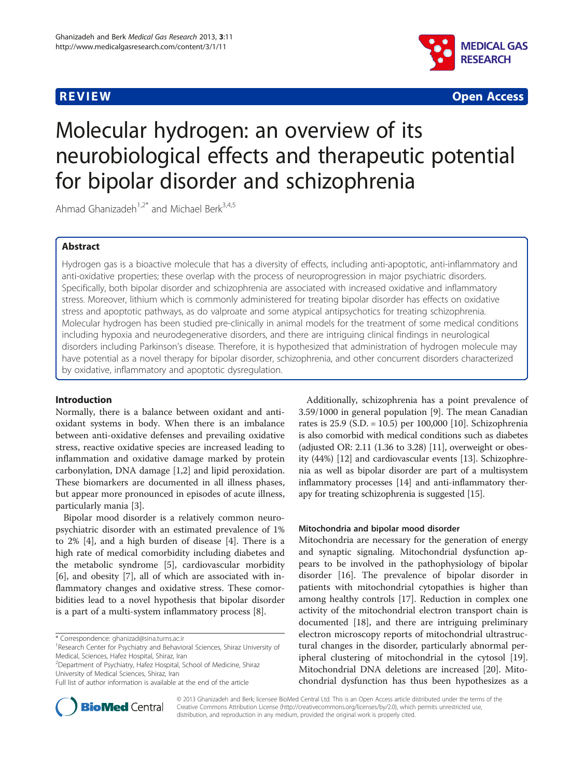

**REVIEW CONTROL** CONTROL CONTROL CONTROL CONTROL CONTROL CONTROL CONTROL CONTROL CONTROL CONTROL CONTROL CONTROL CONTROL CONTROL CONTROL CONTROL CONTROL CONTROL CONTROL CONTROL CONTROL CONTROL CONTROL CONTROL CONTROL CONTR

# Molecular hydrogen: an overview of its neurobiological effects and therapeutic potential for bipolar disorder and schizophrenia

Ahmad Ghanizadeh<sup>1,2\*</sup> and Michael Berk<sup>3,4,5</sup>

# Abstract

Hydrogen gas is a bioactive molecule that has a diversity of effects, including anti-apoptotic, anti-inflammatory and anti-oxidative properties; these overlap with the process of neuroprogression in major psychiatric disorders. Specifically, both bipolar disorder and schizophrenia are associated with increased oxidative and inflammatory stress. Moreover, lithium which is commonly administered for treating bipolar disorder has effects on oxidative stress and apoptotic pathways, as do valproate and some atypical antipsychotics for treating schizophrenia. Molecular hydrogen has been studied pre-clinically in animal models for the treatment of some medical conditions including hypoxia and neurodegenerative disorders, and there are intriguing clinical findings in neurological disorders including Parkinson's disease. Therefore, it is hypothesized that administration of hydrogen molecule may have potential as a novel therapy for bipolar disorder, schizophrenia, and other concurrent disorders characterized by oxidative, inflammatory and apoptotic dysregulation.

# Introduction

Normally, there is a balance between oxidant and antioxidant systems in body. When there is an imbalance between anti-oxidative defenses and prevailing oxidative stress, reactive oxidative species are increased leading to inflammation and oxidative damage marked by protein carbonylation, DNA damage [[1](#page-3-0),[2\]](#page-3-0) and lipid peroxidation. These biomarkers are documented in all illness phases, but appear more pronounced in episodes of acute illness, particularly mania [\[3\]](#page-3-0).

Bipolar mood disorder is a relatively common neuropsychiatric disorder with an estimated prevalence of 1% to 2% [\[4\]](#page-3-0), and a high burden of disease [\[4](#page-3-0)]. There is a high rate of medical comorbidity including diabetes and the metabolic syndrome [\[5](#page-3-0)], cardiovascular morbidity [[6\]](#page-3-0), and obesity [\[7](#page-3-0)], all of which are associated with inflammatory changes and oxidative stress. These comorbidities lead to a novel hypothesis that bipolar disorder is a part of a multi-system inflammatory process [\[8](#page-3-0)].

2 Department of Psychiatry, Hafez Hospital, School of Medicine, Shiraz University of Medical Sciences, Shiraz, Iran

Additionally, schizophrenia has a point prevalence of 3.59/1000 in general population [\[9\]](#page-3-0). The mean Canadian rates is 25.9 (S.D. = 10.5) per 100,000 [[10\]](#page-3-0). Schizophrenia is also comorbid with medical conditions such as diabetes (adjusted OR: 2.11 (1.36 to 3.28) [[11\]](#page-3-0), overweight or obesity (44%) [[12](#page-3-0)] and cardiovascular events [[13](#page-3-0)]. Schizophrenia as well as bipolar disorder are part of a multisystem inflammatory processes [\[14\]](#page-3-0) and anti-inflammatory therapy for treating schizophrenia is suggested [[15](#page-3-0)].

#### Mitochondria and bipolar mood disorder

Mitochondria are necessary for the generation of energy and synaptic signaling. Mitochondrial dysfunction appears to be involved in the pathophysiology of bipolar disorder [[16\]](#page-3-0). The prevalence of bipolar disorder in patients with mitochondrial cytopathies is higher than among healthy controls [[17](#page-3-0)]. Reduction in complex one activity of the mitochondrial electron transport chain is documented [[18](#page-3-0)], and there are intriguing preliminary electron microscopy reports of mitochondrial ultrastructural changes in the disorder, particularly abnormal peripheral clustering of mitochondrial in the cytosol [\[19](#page-3-0)]. Mitochondrial DNA deletions are increased [[20\]](#page-3-0). Mitochondrial dysfunction has thus been hypothesizes as a



© 2013 Ghanizadeh and Berk; licensee BioMed Central Ltd. This is an Open Access article distributed under the terms of the Creative Commons Attribution License (<http://creativecommons.org/licenses/by/2.0>), which permits unrestricted use, distribution, and reproduction in any medium, provided the original work is properly cited.

<sup>\*</sup> Correspondence: [ghanizad@sina.tums.ac.ir](mailto:ghanizad@sina.tums.ac.ir) <sup>1</sup>

<sup>&</sup>lt;sup>1</sup> Research Center for Psychiatry and Behavioral Sciences, Shiraz University of Medical, Sciences, Hafez Hospital, Shiraz, Iran

Full list of author information is available at the end of the article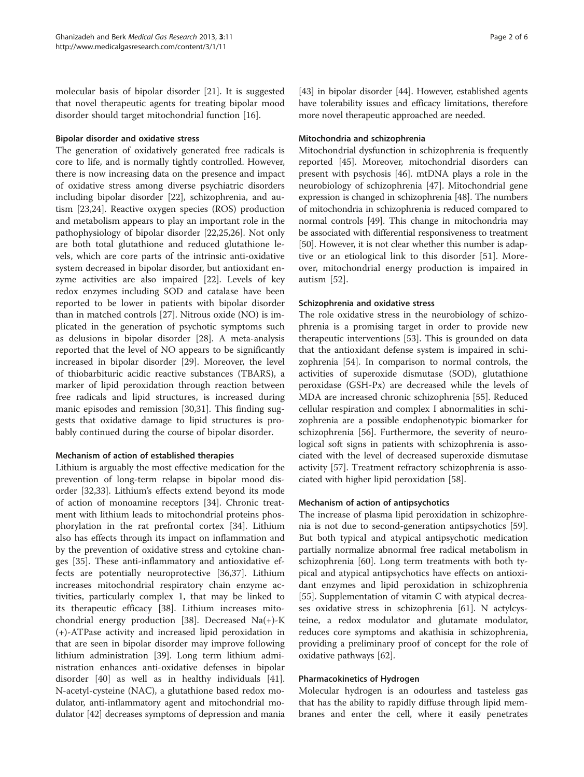molecular basis of bipolar disorder [\[21\]](#page-3-0). It is suggested that novel therapeutic agents for treating bipolar mood disorder should target mitochondrial function [[16\]](#page-3-0).

### Bipolar disorder and oxidative stress

The generation of oxidatively generated free radicals is core to life, and is normally tightly controlled. However, there is now increasing data on the presence and impact of oxidative stress among diverse psychiatric disorders including bipolar disorder [\[22](#page-3-0)], schizophrenia, and autism [[23](#page-3-0),[24](#page-3-0)]. Reactive oxygen species (ROS) production and metabolism appears to play an important role in the pathophysiology of bipolar disorder [\[22,25,](#page-3-0)[26\]](#page-4-0). Not only are both total glutathione and reduced glutathione levels, which are core parts of the intrinsic anti-oxidative system decreased in bipolar disorder, but antioxidant enzyme activities are also impaired [[22\]](#page-3-0). Levels of key redox enzymes including SOD and catalase have been reported to be lower in patients with bipolar disorder than in matched controls [[27\]](#page-4-0). Nitrous oxide (NO) is implicated in the generation of psychotic symptoms such as delusions in bipolar disorder [[28\]](#page-4-0). A meta-analysis reported that the level of NO appears to be significantly increased in bipolar disorder [[29\]](#page-4-0). Moreover, the level of thiobarbituric acidic reactive substances (TBARS), a marker of lipid peroxidation through reaction between free radicals and lipid structures, is increased during manic episodes and remission [\[30,31](#page-4-0)]. This finding suggests that oxidative damage to lipid structures is probably continued during the course of bipolar disorder.

# Mechanism of action of established therapies

Lithium is arguably the most effective medication for the prevention of long-term relapse in bipolar mood disorder [[32,33\]](#page-4-0). Lithium's effects extend beyond its mode of action of monoamine receptors [[34\]](#page-4-0). Chronic treatment with lithium leads to mitochondrial proteins phosphorylation in the rat prefrontal cortex [\[34](#page-4-0)]. Lithium also has effects through its impact on inflammation and by the prevention of oxidative stress and cytokine changes [\[35\]](#page-4-0). These anti-inflammatory and antioxidative effects are potentially neuroprotective [\[36,37](#page-4-0)]. Lithium increases mitochondrial respiratory chain enzyme activities, particularly complex 1, that may be linked to its therapeutic efficacy [[38](#page-4-0)]. Lithium increases mitochondrial energy production [[38\]](#page-4-0). Decreased Na(+)-K (+)-ATPase activity and increased lipid peroxidation in that are seen in bipolar disorder may improve following lithium administration [[39\]](#page-4-0). Long term lithium administration enhances anti-oxidative defenses in bipolar disorder [[40\]](#page-4-0) as well as in healthy individuals [\[41](#page-4-0)]. N-acetyl-cysteine (NAC), a glutathione based redox modulator, anti-inflammatory agent and mitochondrial modulator [[42](#page-4-0)] decreases symptoms of depression and mania [[43](#page-4-0)] in bipolar disorder [[44](#page-4-0)]. However, established agents have tolerability issues and efficacy limitations, therefore more novel therapeutic approached are needed.

#### Mitochondria and schizophrenia

Mitochondrial dysfunction in schizophrenia is frequently reported [[45\]](#page-4-0). Moreover, mitochondrial disorders can present with psychosis [[46\]](#page-4-0). mtDNA plays a role in the neurobiology of schizophrenia [[47\]](#page-4-0). Mitochondrial gene expression is changed in schizophrenia [[48](#page-4-0)]. The numbers of mitochondria in schizophrenia is reduced compared to normal controls [[49](#page-4-0)]. This change in mitochondria may be associated with differential responsiveness to treatment [[50](#page-4-0)]. However, it is not clear whether this number is adaptive or an etiological link to this disorder [[51\]](#page-4-0). Moreover, mitochondrial energy production is impaired in autism [[52\]](#page-4-0).

#### Schizophrenia and oxidative stress

The role oxidative stress in the neurobiology of schizophrenia is a promising target in order to provide new therapeutic interventions [[53\]](#page-4-0). This is grounded on data that the antioxidant defense system is impaired in schizophrenia [[54\]](#page-4-0). In comparison to normal controls, the activities of superoxide dismutase (SOD), glutathione peroxidase (GSH-Px) are decreased while the levels of MDA are increased chronic schizophrenia [\[55](#page-4-0)]. Reduced cellular respiration and complex I abnormalities in schizophrenia are a possible endophenotypic biomarker for schizophrenia [[56](#page-4-0)]. Furthermore, the severity of neurological soft signs in patients with schizophrenia is associated with the level of decreased superoxide dismutase activity [\[57](#page-4-0)]. Treatment refractory schizophrenia is associated with higher lipid peroxidation [\[58](#page-4-0)].

# Mechanism of action of antipsychotics

The increase of plasma lipid peroxidation in schizophrenia is not due to second-generation antipsychotics [\[59](#page-4-0)]. But both typical and atypical antipsychotic medication partially normalize abnormal free radical metabolism in schizophrenia [\[60](#page-4-0)]. Long term treatments with both typical and atypical antipsychotics have effects on antioxidant enzymes and lipid peroxidation in schizophrenia [[55\]](#page-4-0). Supplementation of vitamin C with atypical decreases oxidative stress in schizophrenia [\[61\]](#page-4-0). N actylcysteine, a redox modulator and glutamate modulator, reduces core symptoms and akathisia in schizophrenia, providing a preliminary proof of concept for the role of oxidative pathways [[62\]](#page-4-0).

# Pharmacokinetics of Hydrogen

Molecular hydrogen is an odourless and tasteless gas that has the ability to rapidly diffuse through lipid membranes and enter the cell, where it easily penetrates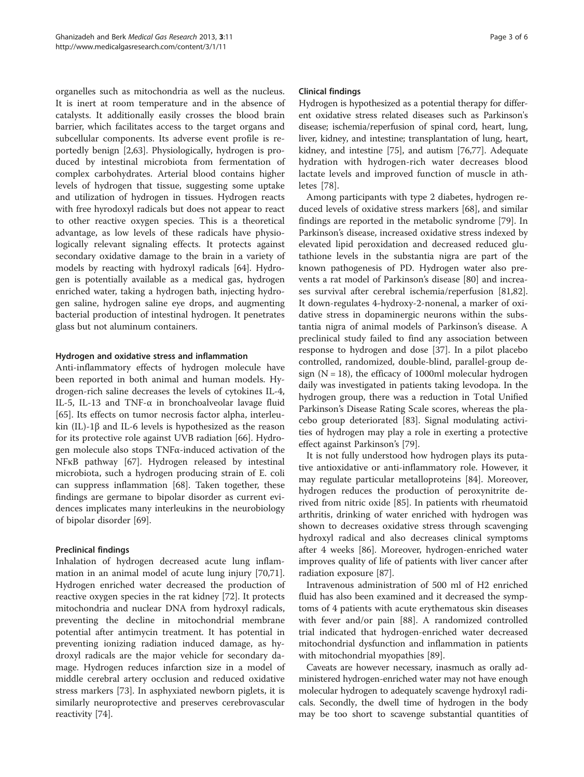organelles such as mitochondria as well as the nucleus. It is inert at room temperature and in the absence of catalysts. It additionally easily crosses the blood brain barrier, which facilitates access to the target organs and subcellular components. Its adverse event profile is reportedly benign [[2,](#page-3-0)[63\]](#page-4-0). Physiologically, hydrogen is produced by intestinal microbiota from fermentation of complex carbohydrates. Arterial blood contains higher levels of hydrogen that tissue, suggesting some uptake and utilization of hydrogen in tissues. Hydrogen reacts with free hyrodoxyl radicals but does not appear to react to other reactive oxygen species. This is a theoretical advantage, as low levels of these radicals have physiologically relevant signaling effects. It protects against secondary oxidative damage to the brain in a variety of models by reacting with hydroxyl radicals [[64](#page-4-0)]. Hydrogen is potentially available as a medical gas, hydrogen enriched water, taking a hydrogen bath, injecting hydrogen saline, hydrogen saline eye drops, and augmenting bacterial production of intestinal hydrogen. It penetrates glass but not aluminum containers.

#### Hydrogen and oxidative stress and inflammation

Anti-inflammatory effects of hydrogen molecule have been reported in both animal and human models. Hydrogen-rich saline decreases the levels of cytokines IL-4, IL-5, IL-13 and TNF-α in bronchoalveolar lavage fluid [[65\]](#page-4-0). Its effects on tumor necrosis factor alpha, interleukin (IL)-1β and IL-6 levels is hypothesized as the reason for its protective role against UVB radiation [[66\]](#page-4-0). Hydrogen molecule also stops TNFα-induced activation of the NFκB pathway [[67](#page-4-0)]. Hydrogen released by intestinal microbiota, such a hydrogen producing strain of E. coli can suppress inflammation [\[68\]](#page-4-0). Taken together, these findings are germane to bipolar disorder as current evidences implicates many interleukins in the neurobiology of bipolar disorder [\[69](#page-4-0)].

#### Preclinical findings

Inhalation of hydrogen decreased acute lung inflammation in an animal model of acute lung injury [\[70,71](#page-4-0)]. Hydrogen enriched water decreased the production of reactive oxygen species in the rat kidney [[72](#page-4-0)]. It protects mitochondria and nuclear DNA from hydroxyl radicals, preventing the decline in mitochondrial membrane potential after antimycin treatment. It has potential in preventing ionizing radiation induced damage, as hydroxyl radicals are the major vehicle for secondary damage. Hydrogen reduces infarction size in a model of middle cerebral artery occlusion and reduced oxidative stress markers [\[73\]](#page-4-0). In asphyxiated newborn piglets, it is similarly neuroprotective and preserves cerebrovascular reactivity [[74\]](#page-4-0).

#### Clinical findings

Hydrogen is hypothesized as a potential therapy for different oxidative stress related diseases such as Parkinson's disease; ischemia/reperfusion of spinal cord, heart, lung, liver, kidney, and intestine; transplantation of lung, heart, kidney, and intestine [[75](#page-4-0)], and autism [[76,77\]](#page-4-0). Adequate hydration with hydrogen-rich water decreases blood lactate levels and improved function of muscle in athletes [[78\]](#page-4-0).

Among participants with type 2 diabetes, hydrogen reduced levels of oxidative stress markers [\[68](#page-4-0)], and similar findings are reported in the metabolic syndrome [\[79](#page-4-0)]. In Parkinson's disease, increased oxidative stress indexed by elevated lipid peroxidation and decreased reduced glutathione levels in the substantia nigra are part of the known pathogenesis of PD. Hydrogen water also prevents a rat model of Parkinson's disease [[80](#page-4-0)] and increases survival after cerebral ischemia/reperfusion [\[81,82](#page-5-0)]. It down-regulates 4-hydroxy-2-nonenal, a marker of oxidative stress in dopaminergic neurons within the substantia nigra of animal models of Parkinson's disease. A preclinical study failed to find any association between response to hydrogen and dose [\[37\]](#page-4-0). In a pilot placebo controlled, randomized, double-blind, parallel-group design ( $N = 18$ ), the efficacy of 1000ml molecular hydrogen daily was investigated in patients taking levodopa. In the hydrogen group, there was a reduction in Total Unified Parkinson's Disease Rating Scale scores, whereas the placebo group deteriorated [[83](#page-5-0)]. Signal modulating activities of hydrogen may play a role in exerting a protective effect against Parkinson's [\[79](#page-4-0)].

It is not fully understood how hydrogen plays its putative antioxidative or anti-inflammatory role. However, it may regulate particular metalloproteins [[84\]](#page-5-0). Moreover, hydrogen reduces the production of peroxynitrite derived from nitric oxide [[85](#page-5-0)]. In patients with rheumatoid arthritis, drinking of water enriched with hydrogen was shown to decreases oxidative stress through scavenging hydroxyl radical and also decreases clinical symptoms after 4 weeks [[86\]](#page-5-0). Moreover, hydrogen-enriched water improves quality of life of patients with liver cancer after radiation exposure [[87\]](#page-5-0).

Intravenous administration of 500 ml of H2 enriched fluid has also been examined and it decreased the symptoms of 4 patients with acute erythematous skin diseases with fever and/or pain [\[88\]](#page-5-0). A randomized controlled trial indicated that hydrogen-enriched water decreased mitochondrial dysfunction and inflammation in patients with mitochondrial myopathies [[89\]](#page-5-0).

Caveats are however necessary, inasmuch as orally administered hydrogen-enriched water may not have enough molecular hydrogen to adequately scavenge hydroxyl radicals. Secondly, the dwell time of hydrogen in the body may be too short to scavenge substantial quantities of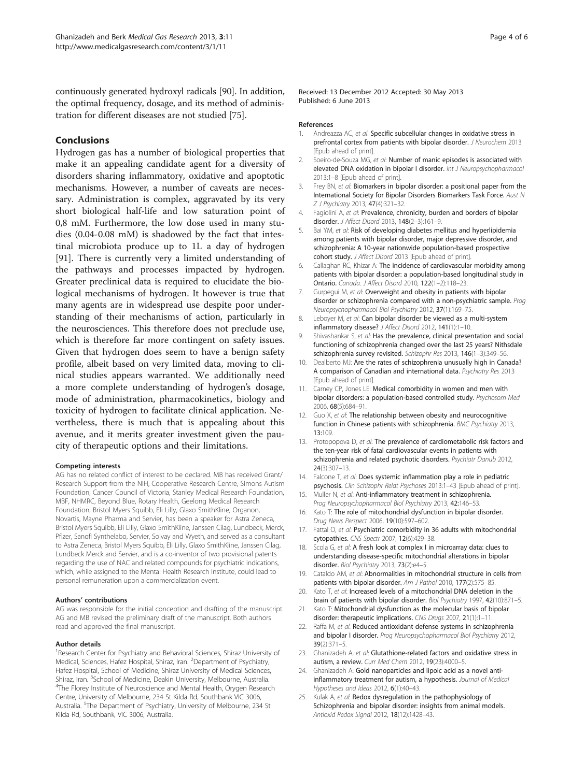<span id="page-3-0"></span>continuously generated hydroxyl radicals [[90](#page-5-0)]. In addition, the optimal frequency, dosage, and its method of administration for different diseases are not studied [[75](#page-4-0)].

### Conclusions

Hydrogen gas has a number of biological properties that make it an appealing candidate agent for a diversity of disorders sharing inflammatory, oxidative and apoptotic mechanisms. However, a number of caveats are necessary. Administration is complex, aggravated by its very short biological half-life and low saturation point of 0,8 mM. Furthermore, the low dose used in many studies (0.04-0.08 mM) is shadowed by the fact that intestinal microbiota produce up to 1L a day of hydrogen [[91\]](#page-5-0). There is currently very a limited understanding of the pathways and processes impacted by hydrogen. Greater preclinical data is required to elucidate the biological mechanisms of hydrogen. It however is true that many agents are in widespread use despite poor understanding of their mechanisms of action, particularly in the neurosciences. This therefore does not preclude use, which is therefore far more contingent on safety issues. Given that hydrogen does seem to have a benign safety profile, albeit based on very limited data, moving to clinical studies appears warranted. We additionally need a more complete understanding of hydrogen's dosage, mode of administration, pharmacokinetics, biology and toxicity of hydrogen to facilitate clinical application. Nevertheless, there is much that is appealing about this avenue, and it merits greater investment given the paucity of therapeutic options and their limitations.

#### Competing interests

AG has no related conflict of interest to be declared. MB has received Grant/ Research Support from the NIH, Cooperative Research Centre, Simons Autism Foundation, Cancer Council of Victoria, Stanley Medical Research Foundation, MBF, NHMRC, Beyond Blue, Rotary Health, Geelong Medical Research Foundation, Bristol Myers Squibb, Eli Lilly, Glaxo SmithKline, Organon, Novartis, Mayne Pharma and Servier, has been a speaker for Astra Zeneca, Bristol Myers Squibb, Eli Lilly, Glaxo SmithKline, Janssen Cilag, Lundbeck, Merck, Pfizer, Sanofi Synthelabo, Servier, Solvay and Wyeth, and served as a consultant to Astra Zeneca, Bristol Myers Squibb, Eli Lilly, Glaxo SmithKline, Janssen Cilag, Lundbeck Merck and Servier, and is a co-inventor of two provisional patents regarding the use of NAC and related compounds for psychiatric indications, which, while assigned to the Mental Health Research Institute, could lead to personal remuneration upon a commercialization event.

#### Authors' contributions

AG was responsible for the initial conception and drafting of the manuscript. AG and MB revised the preliminary draft of the manuscript. Both authors read and approved the final manuscript.

#### Author details

<sup>1</sup> Research Center for Psychiatry and Behavioral Sciences, Shiraz University of Medical, Sciences, Hafez Hospital, Shiraz, Iran. <sup>2</sup>Department of Psychiatry, Hafez Hospital, School of Medicine, Shiraz University of Medical Sciences, Shiraz, Iran. <sup>3</sup>School of Medicine, Deakin University, Melbourne, Australia.<br><sup>4</sup>The Elerey Institute of Neuroscience and Mental Health, Ongen Besear <sup>4</sup>The Florey Institute of Neuroscience and Mental Health, Orygen Research Centre, University of Melbourne, 234 St Kilda Rd, Southbank VIC 3006, Australia. <sup>5</sup>The Department of Psychiatry, University of Melbourne, 234 St Kilda Rd, Southbank, VIC 3006, Australia.

Received: 13 December 2012 Accepted: 30 May 2013 Published: 6 June 2013

#### References

- 1. Andreazza AC, et al: Specific subcellular changes in oxidative stress in prefrontal cortex from patients with bipolar disorder. J Neurochem 2013 [Epub ahead of print].
- Soeiro-de-Souza MG, et al: Number of manic episodes is associated with elevated DNA oxidation in bipolar I disorder. Int J Neuropsychopharmacol 2013:1–8 [Epub ahead of print].
- 3. Frey BN, et al: Biomarkers in bipolar disorder: a positional paper from the International Society for Bipolar Disorders Biomarkers Task Force. Aust N Z J Psychiatry 2013, 47(4):321–32.
- 4. Fagiolini A, et al: Prevalence, chronicity, burden and borders of bipolar disorder. J Affect Disord 2013, 148(2–3):161–9.
- 5. Bai YM, et al: Risk of developing diabetes mellitus and hyperlipidemia among patients with bipolar disorder, major depressive disorder, and schizophrenia: A 10-year nationwide population-based prospective cohort study. J Affect Disord 2013 [Epub ahead of print].
- 6. Callaghan RC, Khizar A: The incidence of cardiovascular morbidity among patients with bipolar disorder: a population-based longitudinal study in Ontario. Canada. J Affect Disord 2010, 122(1–2):118–23.
- 7. Gurpegui M, et al: Overweight and obesity in patients with bipolar disorder or schizophrenia compared with a non-psychiatric sample. Prog Neuropsychopharmacol Biol Psychiatry 2012, 37(1):169–75.
- 8. Leboyer M, et al: Can bipolar disorder be viewed as a multi-system inflammatory disease? J Affect Disord 2012, 141(1):1–10.
- 9. Shivashankar S, et al: Has the prevalence, clinical presentation and social functioning of schizophrenia changed over the last 25 years? Nithsdale schizophrenia survey revisited. Schizophr Res 2013, 146(1–3):349–56.
- 10. Dealberto MJ: Are the rates of schizophrenia unusually high in Canada? A comparison of Canadian and international data. Psychiatry Res 2013 [Epub ahead of print].
- 11. Carney CP, Jones LE: Medical comorbidity in women and men with bipolar disorders: a population-based controlled study. Psychosom Med 2006, 68(5):684–91.
- 12. Guo X, et al: The relationship between obesity and neurocognitive function in Chinese patients with schizophrenia. BMC Psychiatry 2013, 13:109.
- 13. Protopopova D, et al: The prevalence of cardiometabolic risk factors and the ten-year risk of fatal cardiovascular events in patients with schizophrenia and related psychotic disorders. Psychiatr Danub 2012, 24(3):307–13.
- 14. Falcone T, et al: Does systemic inflammation play a role in pediatric psychosis. Clin Schizophr Relat Psychoses 2013:1–43 [Epub ahead of print].
- 15. Muller N, et al: Anti-inflammatory treatment in schizophrenia. Prog Neuropsychopharmacol Biol Psychiatry 2013, 42:146–53.
- 16. Kato T: The role of mitochondrial dysfunction in bipolar disorder. Drug News Perspect 2006, 19(10):597–602.
- 17. Fattal O, et al: Psychiatric comorbidity in 36 adults with mitochondrial cytopathies. CNS Spectr 2007, 12(6):429–38.
- 18. Scola G, et al: A fresh look at complex I in microarray data: clues to understanding disease-specific mitochondrial alterations in bipolar disorder. Biol Psychiatry 2013, 73(2):e4-5.
- 19. Cataldo AM, et al: Abnormalities in mitochondrial structure in cells from patients with bipolar disorder. Am J Pathol 2010, 177(2):575-85.
- 20. Kato  $T$ , et al: Increased levels of a mitochondrial DNA deletion in the brain of patients with bipolar disorder. Biol Psychiatry 1997, 42(10):871–5.
- 21. Kato T: Mitochondrial dysfunction as the molecular basis of bipolar disorder: therapeutic implications. CNS Drugs 2007, 21(1):1–11.
- 22. Raffa M, et al: Reduced antioxidant defense systems in schizophrenia and bipolar I disorder. Prog Neuropsychopharmacol Biol Psychiatry 2012, 39(2):371–5.
- 23. Ghanizadeh A, et al: Glutathione-related factors and oxidative stress in autism, a review. Curr Med Chem 2012, 19(23):4000-5.
- 24. Ghanizadeh A: Gold nanoparticles and lipoic acid as a novel antiinflammatory treatment for autism, a hypothesis. Journal of Medical Hypotheses and Ideas 2012, 6(1):40–43.
- 25. Kulak A, et al: Redox dysregulation in the pathophysiology of Schizophrenia and bipolar disorder: insights from animal models. Antioxid Redox Signal 2012, 18(12):1428–43.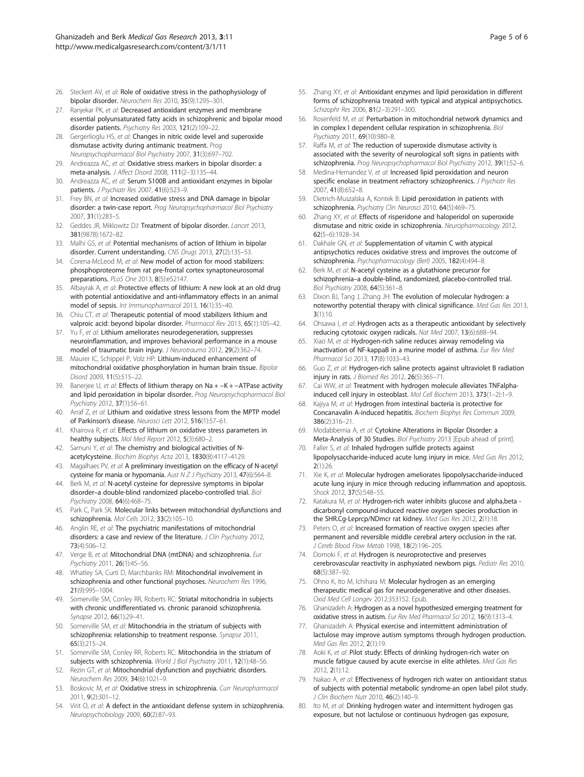- <span id="page-4-0"></span>26. Steckert AV, et al: Role of oxidative stress in the pathophysiology of bipolar disorder. Neurochem Res 2010, 35(9):1295–301.
- 27. Ranjekar PK, et al: Decreased antioxidant enzymes and membrane essential polyunsaturated fatty acids in schizophrenic and bipolar mood disorder patients. Psychiatry Res 2003, 121(2):109–22.
- 28. Gergerlioglu HS, et al: Changes in nitric oxide level and superoxide dismutase activity during antimanic treatment. Prog Neuropsychopharmacol Biol Psychiatry 2007, 31(3):697–702.
- 29. Andreazza AC, et al: Oxidative stress markers in bipolar disorder: a meta-analysis. J Affect Disord 2008, 111(2–3):135–44.
- 30. Andreazza AC, et al: Serum S100B and antioxidant enzymes in bipolar patients. J Psychiatr Res 2007, 41(6):523–9.
- 31. Frey BN, et al: Increased oxidative stress and DNA damage in bipolar disorder: a twin-case report. Prog Neuropsychopharmacol Biol Psychiatry 2007, 31(1):283–5.
- 32. Geddes JR, Miklowitz DJ: Treatment of bipolar disorder. Lancet 2013, 381(9878):1672–82.
- 33. Malhi GS, et al: Potential mechanisms of action of lithium in bipolar disorder. Current understanding. CNS Drugs 2013, 27(2):135–53.
- 34. Corena-McLeod M, et al: New model of action for mood stabilizers: phosphoproteome from rat pre-frontal cortex synaptoneurosomal preparations. PLoS One 2013, 8(5):e52147.
- 35. Albayrak A, et al: Protective effects of lithium: A new look at an old drug with potential antioxidative and anti-inflammatory effects in an animal model of sepsis. Int Immunopharmacol 2013, 16(1):35–40.
- 36. Chiu CT, et al: Therapeutic potential of mood stabilizers lithium and valproic acid: beyond bipolar disorder. Pharmacol Rev 2013, 65(1):105–42.
- 37. Yu F, et al: Lithium ameliorates neurodegeneration, suppresses neuroinflammation, and improves behavioral performance in a mouse model of traumatic brain injury. J Neurotrauma 2012, 29(2):362–74.
- 38. Maurer IC, Schippel P, Volz HP: Lithium-induced enhancement of mitochondrial oxidative phosphorylation in human brain tissue. Bipolar Disord 2009, 11(5):515–22.
- 39. Banerjee U, et al: Effects of lithium therapy on Na + -K + -ATPase activity and lipid peroxidation in bipolar disorder. Prog Neuropsychopharmacol Biol Psychiatry 2012, 37(1):56–61.
- 40. Arraf Z, et al: Lithium and oxidative stress lessons from the MPTP model of Parkinson's disease. Neurosci Lett 2012, 516(1):57–61.
- 41. Khairova R, et al: Effects of lithium on oxidative stress parameters in healthy subjects. Mol Med Report 2012, 5(3):680–2.
- 42. Samuni Y, et al: The chemistry and biological activities of Nacetylcysteine. Biochim Biophys Acta 2013, 1830(8):4117–4129.
- 43. Magalhaes PV, et al: A preliminary investigation on the efficacy of N-acetyl cysteine for mania or hypomania. Aust N Z J Psychiatry 2013, 47(6):564-8.
- 44. Berk M, et al: N-acetyl cysteine for depressive symptoms in bipolar disorder–a double-blind randomized placebo-controlled trial. Biol Psychiatry 2008, 64(6):468–75.
- 45. Park C, Park SK: Molecular links between mitochondrial dysfunctions and schizophrenia. Mol Cells 2012, 33(2):105–10.
- 46. Anglin RE, et al: The psychiatric manifestations of mitochondrial disorders: a case and review of the literature. J Clin Psychiatry 2012, 73(4):506–12.
- 47. Verge B, et al: Mitochondrial DNA (mtDNA) and schizophrenia. Eur Psychiatry 2011, 26(1):45–56.
- 48. Whatley SA, Curti D, Marchbanks RM: Mitochondrial involvement in schizophrenia and other functional psychoses. Neurochem Res 1996, 21(9):995–1004.
- 49. Somerville SM, Conley RR, Roberts RC: Striatal mitochondria in subjects with chronic undifferentiated vs. chronic paranoid schizophrenia. Synapse 2012, 66(1):29–41.
- 50. Somerville SM, et al: Mitochondria in the striatum of subjects with schizophrenia: relationship to treatment response. Synapse 2011, 65(3):215–24.
- 51. Somerville SM, Conley RR, Roberts RC: Mitochondria in the striatum of subjects with schizophrenia. World J Biol Psychiatry 2011, 12(1):48-56.
- 52. Rezin GT, et al: Mitochondrial dysfunction and psychiatric disorders. Neurochem Res 2009, 34(6):1021–9.
- 53. Boskovic M, et al: Oxidative stress in schizophrenia. Curr Neuropharmacol 2011, 9(2):301–12.
- 54. Virit O, et al: A defect in the antioxidant defense system in schizophrenia. Neuropsychobiology 2009, 60(2):87–93.
- 55. Zhang XY, et al: Antioxidant enzymes and lipid peroxidation in different forms of schizophrenia treated with typical and atypical antipsychotics. Schizophr Res 2006, 81(2–3):291–300.
- 56. Rosenfeld M, et al: Perturbation in mitochondrial network dynamics and in complex I dependent cellular respiration in schizophrenia. Biol Psychiatry 2011, 69(10):980–8.
- 57. Raffa M, et al: The reduction of superoxide dismutase activity is associated with the severity of neurological soft signs in patients with schizophrenia. Prog Neuropsychopharmacol Biol Psychiatry 2012, 39(1):52-6.
- 58. Medina-Hernandez V, et al: Increased lipid peroxidation and neuron specific enolase in treatment refractory schizophrenics. J Psychiatr Res 2007, 41(8):652–8.
- 59. Dietrich-Muszalska A, Kontek B: Lipid peroxidation in patients with schizophrenia. Psychiatry Clin Neurosci 2010, 64(5):469–75.
- 60. Zhang XY, et al: Effects of risperidone and haloperidol on superoxide dismutase and nitric oxide in schizophrenia. Neuropharmacology 2012, 62(5–6):1928–34.
- 61. Dakhale GN, et al: Supplementation of vitamin C with atypical antipsychotics reduces oxidative stress and improves the outcome of schizophrenia. Psychopharmacology (Berl) 2005, 182(4):494–8.
- 62. Berk M, et al: N-acetyl cysteine as a glutathione precursor for schizophrenia–a double-blind, randomized, placebo-controlled trial. Biol Psychiatry 2008, 64(5):361–8.
- 63. Dixon BJ, Tang J, Zhang JH: The evolution of molecular hydrogen: a noteworthy potential therapy with clinical significance. Med Gas Res 2013,  $3(1):10$
- 64. Ohsawa I, et al: Hydrogen acts as a therapeutic antioxidant by selectively reducing cytotoxic oxygen radicals. Nat Med 2007, 13(6):688–94.
- 65. Xiao M, et al: Hydrogen-rich saline reduces airway remodeling via inactivation of NF-kappaB in a murine model of asthma. Eur Rev Med Pharmacol Sci 2013, 17(8):1033–43.
- 66. Guo Z, et al: Hydrogen-rich saline protects against ultraviolet B radiation injury in rats. J Biomed Res 2012, 26(5):365–71.
- 67. Cai WW, et al: Treatment with hydrogen molecule alleviates TNFalphainduced cell injury in osteoblast. Mol Cell Biochem 2013, 373(1–2):1–9.
- 68. Kajiya M, et al: Hydrogen from intestinal bacteria is protective for Concanavalin A-induced hepatitis. Biochem Biophys Res Commun 2009, 386(2):316–21.
- 69. Modabbernia A, et al: Cytokine Alterations in Bipolar Disorder: a Meta-Analysis of 30 Studies. Biol Psychiatry 2013 [Epub ahead of print].
- 70. Faller S, et al: Inhaled hydrogen sulfide protects against lipopolysaccharide-induced acute lung injury in mice. Med Gas Res 2012, 2(1):26.
- 71. Xie K, et al: Molecular hydrogen ameliorates lipopolysaccharide-induced acute lung injury in mice through reducing inflammation and apoptosis. Shock 2012, 37(5):548–55.
- 72. Katakura M, et al: Hydrogen-rich water inhibits glucose and alpha, beta dicarbonyl compound-induced reactive oxygen species production in the SHR.Cg-Leprcp/NDmcr rat kidney. Med Gas Res 2012, 2(1):18.
- Peters O, et al: Increased formation of reactive oxygen species after permanent and reversible middle cerebral artery occlusion in the rat. J Cereb Blood Flow Metab 1998, 18(2):196–205.

74. Domoki F, et al: Hydrogen is neuroprotective and preserves cerebrovascular reactivity in asphyxiated newborn pigs. Pediatr Res 2010, 68(5):387–92.

- 75. Ohno K, Ito M, Ichihara M: Molecular hydrogen as an emerging therapeutic medical gas for neurodegenerative and other diseases. Oxid Med Cell Longev 2012:353152. Epub.
- 76. Ghanizadeh A: Hydrogen as a novel hypothesized emerging treatment for oxidative stress in autism. Eur Rev Med Pharmacol Sci 2012, 16(9):1313–4.
- 77. Ghanizadeh A: Physical exercise and intermittent administration of lactulose may improve autism symptoms through hydrogen production. Med Gas Res 2012, 2(1):19.
- 78. Aoki K, et al: Pilot study: Effects of drinking hydrogen-rich water on muscle fatigue caused by acute exercise in elite athletes. Med Gas Res 2012, 2(1):12.
- 79. Nakao A, et al: Effectiveness of hydrogen rich water on antioxidant status of subjects with potential metabolic syndrome-an open label pilot study. J Clin Biochem Nutr 2010, 46(2):140–9.
- 80. Ito M, et al: Drinking hydrogen water and intermittent hydrogen gas exposure, but not lactulose or continuous hydrogen gas exposure,